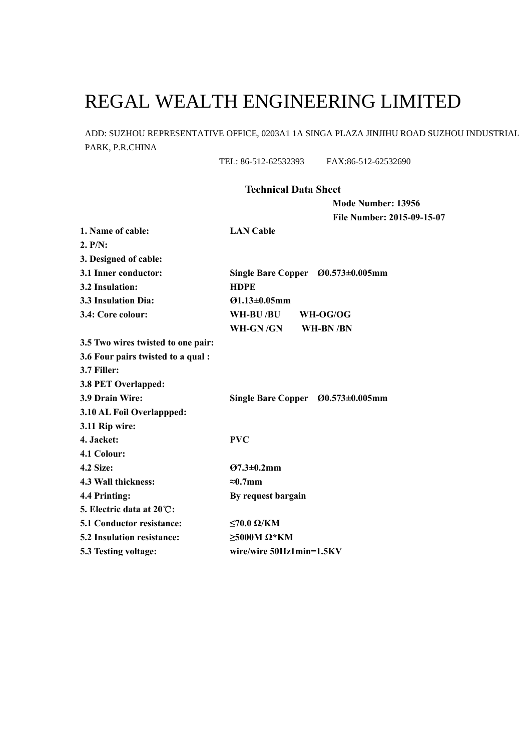## REGAL WEALTH ENGINEERING LIMITED

ADD: SUZHOU REPRESENTATIVE OFFICE, 0203A1 1A SINGA PLAZA JINJIHU ROAD SUZHOU INDUSTRIAL PARK, P.R.CHINA

TEL: 86-512-62532393 FAX:86-512-62532690

## **Technical Data Sheet**

**Mode Number: 13956 File Number: 2015-09-15-07** 

| 1. Name of cable:                  | <b>LAN Cable</b>                             |  |  |  |  |  |  |  |
|------------------------------------|----------------------------------------------|--|--|--|--|--|--|--|
| 2. P/N:                            |                                              |  |  |  |  |  |  |  |
| 3. Designed of cable:              |                                              |  |  |  |  |  |  |  |
| 3.1 Inner conductor:               | Single Bare Copper $\emptyset$ 0.573±0.005mm |  |  |  |  |  |  |  |
| 3.2 Insulation:                    | <b>HDPE</b>                                  |  |  |  |  |  |  |  |
| <b>3.3 Insulation Dia:</b>         | $Q1.13 \pm 0.05$ mm                          |  |  |  |  |  |  |  |
| 3.4: Core colour:                  | WH-BU /BU<br>WH-OG/OG                        |  |  |  |  |  |  |  |
|                                    | WH-GN /GN<br>WH-BN/BN                        |  |  |  |  |  |  |  |
| 3.5 Two wires twisted to one pair: |                                              |  |  |  |  |  |  |  |
| 3.6 Four pairs twisted to a qual : |                                              |  |  |  |  |  |  |  |
| 3.7 Filler:                        |                                              |  |  |  |  |  |  |  |
| 3.8 PET Overlapped:                |                                              |  |  |  |  |  |  |  |
| 3.9 Drain Wire:                    | Single Bare Copper $\emptyset$ 0.573±0.005mm |  |  |  |  |  |  |  |
| 3.10 AL Foil Overlappped:          |                                              |  |  |  |  |  |  |  |
| 3.11 Rip wire:                     |                                              |  |  |  |  |  |  |  |
| 4. Jacket:                         | <b>PVC</b>                                   |  |  |  |  |  |  |  |
| 4.1 Colour:                        |                                              |  |  |  |  |  |  |  |
| <b>4.2 Size:</b>                   | $Q7.3 \pm 0.2$ mm                            |  |  |  |  |  |  |  |
| 4.3 Wall thickness:                | $\approx 0.7$ mm                             |  |  |  |  |  |  |  |
| 4.4 Printing:                      | By request bargain                           |  |  |  |  |  |  |  |
| 5. Electric data at 20 C:          |                                              |  |  |  |  |  |  |  |
| <b>5.1 Conductor resistance:</b>   | $≤70.0$ Ω/KM                                 |  |  |  |  |  |  |  |
| <b>5.2 Insulation resistance:</b>  | $\geq$ 5000M $\Omega$ *KM                    |  |  |  |  |  |  |  |
| 5.3 Testing voltage:               | wire/wire 50Hz1min=1.5KV                     |  |  |  |  |  |  |  |